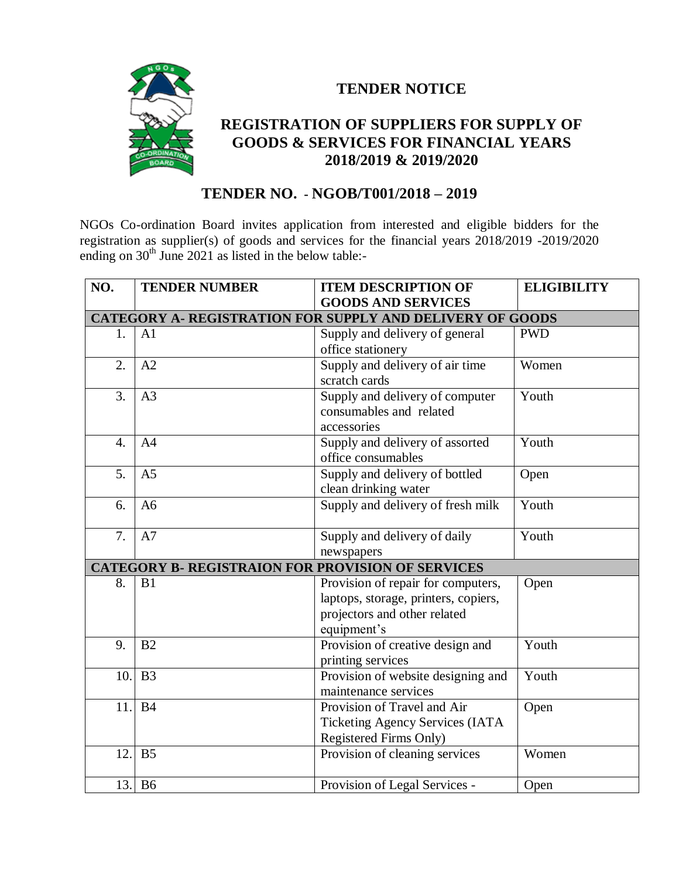

## **TENDER NOTICE**

## **REGISTRATION OF SUPPLIERS FOR SUPPLY OF GOODS & SERVICES FOR FINANCIAL YEARS 2018/2019 & 2019/2020**

## **TENDER NO. - NGOB/T001/2018 – 2019**

NGOs Co-ordination Board invites application from interested and eligible bidders for the registration as supplier(s) of goods and services for the financial years 2018/2019 -2019/2020 ending on  $30<sup>th</sup>$  June 2021 as listed in the below table:-

| NO.                                                      | <b>TENDER NUMBER</b> | <b>ITEM DESCRIPTION OF</b>             | <b>ELIGIBILITY</b>  |  |  |
|----------------------------------------------------------|----------------------|----------------------------------------|---------------------|--|--|
|                                                          |                      | <b>GOODS AND SERVICES</b>              |                     |  |  |
| CATEGORY A-REGISTRATION FOR SUPPLY AND DELIVERY OF GOODS |                      |                                        |                     |  |  |
| 1.                                                       | A <sub>1</sub>       | Supply and delivery of general         | <b>PWD</b>          |  |  |
|                                                          |                      | office stationery                      |                     |  |  |
| 2.                                                       | A2                   | Supply and delivery of air time        | Women               |  |  |
|                                                          |                      | scratch cards                          |                     |  |  |
| 3.                                                       | A <sub>3</sub>       | Supply and delivery of computer        | $\overline{Y}$ outh |  |  |
|                                                          |                      | consumables and related                |                     |  |  |
|                                                          |                      | accessories                            |                     |  |  |
| $\overline{4}$ .                                         | A4                   | Supply and delivery of assorted        | Youth               |  |  |
|                                                          |                      | office consumables                     |                     |  |  |
| 5.                                                       | A <sub>5</sub>       | Supply and delivery of bottled         | Open                |  |  |
|                                                          |                      | clean drinking water                   |                     |  |  |
| 6.                                                       | A <sub>6</sub>       | Supply and delivery of fresh milk      | Youth               |  |  |
|                                                          |                      |                                        |                     |  |  |
| 7.                                                       | A7                   | Supply and delivery of daily           | Youth               |  |  |
|                                                          |                      | newspapers                             |                     |  |  |
| <b>CATEGORY B- REGISTRAION FOR PROVISION OF SERVICES</b> |                      |                                        |                     |  |  |
| 8.                                                       | B1                   | Provision of repair for computers,     | Open                |  |  |
|                                                          |                      | laptops, storage, printers, copiers,   |                     |  |  |
|                                                          |                      | projectors and other related           |                     |  |  |
|                                                          |                      | equipment's                            |                     |  |  |
| 9.                                                       | B <sub>2</sub>       | Provision of creative design and       | Youth               |  |  |
|                                                          |                      | printing services                      |                     |  |  |
| 10.                                                      | B <sub>3</sub>       | Provision of website designing and     | Youth               |  |  |
|                                                          |                      | maintenance services                   |                     |  |  |
| 11.                                                      | <b>B4</b>            | Provision of Travel and Air            | Open                |  |  |
|                                                          |                      | <b>Ticketing Agency Services (IATA</b> |                     |  |  |
|                                                          |                      | Registered Firms Only)                 |                     |  |  |
| 12.                                                      | B <sub>5</sub>       | Provision of cleaning services         | Women               |  |  |
|                                                          |                      |                                        |                     |  |  |
|                                                          | 13. B6               | Provision of Legal Services -          | Open                |  |  |